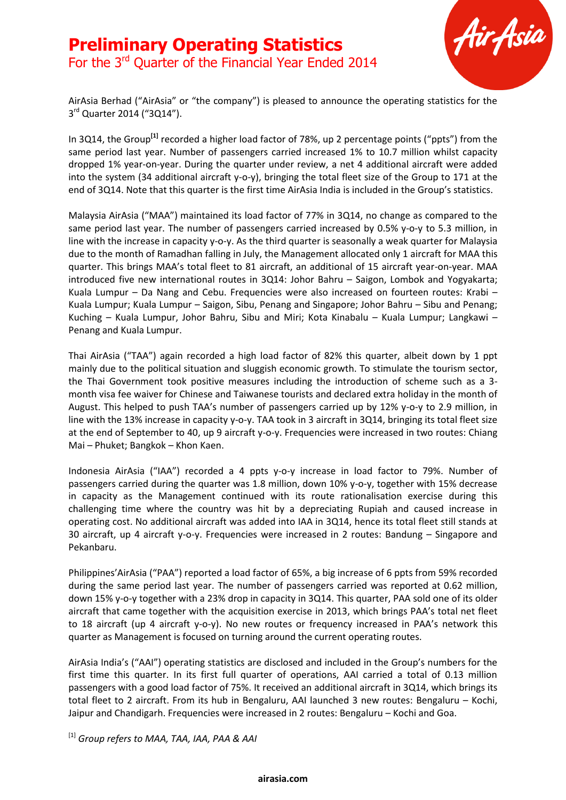

AirAsia Berhad ("AirAsia" or "the company") is pleased to announce the operating statistics for the 3<sup>rd</sup> Quarter 2014 ("3Q14").

In 3Q14, the Group**[1]** recorded a higher load factor of 78%, up 2 percentage points ("ppts") from the same period last year. Number of passengers carried increased 1% to 10.7 million whilst capacity dropped 1% year-on-year. During the quarter under review, a net 4 additional aircraft were added into the system (34 additional aircraft y-o-y), bringing the total fleet size of the Group to 171 at the end of 3Q14. Note that this quarter is the first time AirAsia India is included in the Group's statistics.

Malaysia AirAsia ("MAA") maintained its load factor of 77% in 3Q14, no change as compared to the same period last year. The number of passengers carried increased by 0.5% y-o-y to 5.3 million, in line with the increase in capacity y-o-y. As the third quarter is seasonally a weak quarter for Malaysia due to the month of Ramadhan falling in July, the Management allocated only 1 aircraft for MAA this quarter. This brings MAA's total fleet to 81 aircraft, an additional of 15 aircraft year-on-year. MAA introduced five new international routes in 3Q14: Johor Bahru – Saigon, Lombok and Yogyakarta; Kuala Lumpur – Da Nang and Cebu. Frequencies were also increased on fourteen routes: Krabi – Kuala Lumpur; Kuala Lumpur – Saigon, Sibu, Penang and Singapore; Johor Bahru – Sibu and Penang; Kuching – Kuala Lumpur, Johor Bahru, Sibu and Miri; Kota Kinabalu – Kuala Lumpur; Langkawi – Penang and Kuala Lumpur.

Thai AirAsia ("TAA") again recorded a high load factor of 82% this quarter, albeit down by 1 ppt mainly due to the political situation and sluggish economic growth. To stimulate the tourism sector, the Thai Government took positive measures including the introduction of scheme such as a 3 month visa fee waiver for Chinese and Taiwanese tourists and declared extra holiday in the month of August. This helped to push TAA's number of passengers carried up by 12% y-o-y to 2.9 million, in line with the 13% increase in capacity y-o-y. TAA took in 3 aircraft in 3Q14, bringing its total fleet size at the end of September to 40, up 9 aircraft y-o-y. Frequencies were increased in two routes: Chiang Mai – Phuket; Bangkok – Khon Kaen.

Indonesia AirAsia ("IAA") recorded a 4 ppts y-o-y increase in load factor to 79%. Number of passengers carried during the quarter was 1.8 million, down 10% y-o-y, together with 15% decrease in capacity as the Management continued with its route rationalisation exercise during this challenging time where the country was hit by a depreciating Rupiah and caused increase in operating cost. No additional aircraft was added into IAA in 3Q14, hence its total fleet still stands at 30 aircraft, up 4 aircraft y-o-y. Frequencies were increased in 2 routes: Bandung – Singapore and Pekanbaru.

Philippines'AirAsia ("PAA") reported a load factor of 65%, a big increase of 6 ppts from 59% recorded during the same period last year. The number of passengers carried was reported at 0.62 million, down 15% y-o-y together with a 23% drop in capacity in 3Q14. This quarter, PAA sold one of its older aircraft that came together with the acquisition exercise in 2013, which brings PAA's total net fleet to 18 aircraft (up 4 aircraft y-o-y). No new routes or frequency increased in PAA's network this quarter as Management is focused on turning around the current operating routes.

AirAsia India's ("AAI") operating statistics are disclosed and included in the Group's numbers for the first time this quarter. In its first full quarter of operations, AAI carried a total of 0.13 million passengers with a good load factor of 75%. It received an additional aircraft in 3Q14, which brings its total fleet to 2 aircraft. From its hub in Bengaluru, AAI launched 3 new routes: Bengaluru – Kochi, Jaipur and Chandigarh. Frequencies were increased in 2 routes: Bengaluru – Kochi and Goa.

[1] *Group refers to MAA, TAA, IAA, PAA & AAI*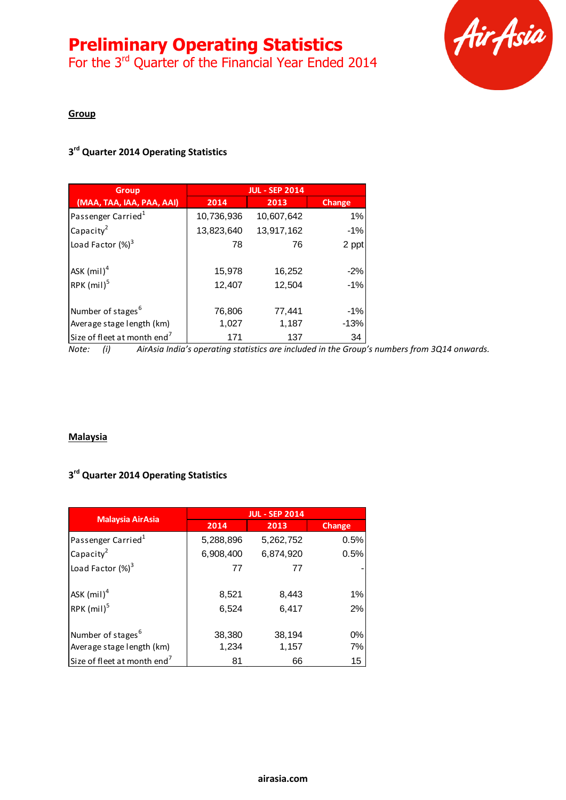For the 3<sup>rd</sup> Quarter of the Financial Year Ended 2014



#### **Group**

# **3 rd Quarter 2014 Operating Statistics**

| <b>Group</b>                            |            | <b>JUL - SEP 2014</b> |               |
|-----------------------------------------|------------|-----------------------|---------------|
| (MAA, TAA, IAA, PAA, AAI)               | 2014       | 2013                  | <b>Change</b> |
| Passenger Carried <sup>1</sup>          | 10,736,936 | 10,607,642            | 1%            |
| Capacity <sup>2</sup>                   | 13,823,640 | 13,917,162            | $-1%$         |
| Load Factor $(\%)^3$                    | 78         | 76                    | 2 ppt         |
| ASK $(mil)^4$                           | 15,978     | 16,252                | $-2%$         |
| RPK $(mil)^5$                           | 12,407     | 12,504                | $-1\%$        |
| Number of stages <sup>6</sup>           | 76,806     | 77,441                | $-1\%$        |
| Average stage length (km)               | 1,027      | 1,187                 | $-13%$        |
| Size of fleet at month end <sup>7</sup> | 171        | 137                   | 34            |

*Note: (i) AirAsia India's operating statistics are included in the Group's numbers from 3Q14 onwards.*

#### **Malaysia**

### **3 rd Quarter 2014 Operating Statistics**

|                                         | <b>JUL - SEP 2014</b> |           |               |
|-----------------------------------------|-----------------------|-----------|---------------|
| <b>Malaysia AirAsia</b>                 | 2014                  | 2013      | <b>Change</b> |
| Passenger Carried <sup>1</sup>          | 5,288,896             | 5,262,752 | 0.5%          |
| Capacity <sup>2</sup>                   | 6,908,400             | 6,874,920 | 0.5%          |
| Load Factor $(\%)^3$                    | 77                    | 77        |               |
| ASK $(mil)^4$                           | 8,521                 | 8,443     | 1%            |
| RPK $(mil)^5$                           | 6,524                 | 6,417     | 2%            |
| Number of stages <sup>6</sup>           | 38,380                | 38,194    | 0%            |
| Average stage length (km)               | 1,234                 | 1,157     | 7%            |
| Size of fleet at month end <sup>7</sup> | 81                    | 66        | 15            |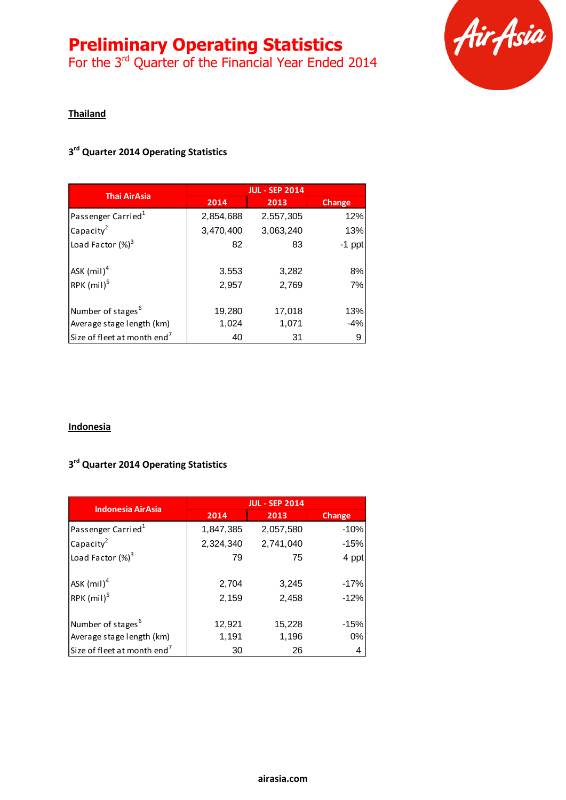# **Preliminary Operating Statistics**

For the 3<sup>rd</sup> Quarter of the Financial Year Ended 2014



#### **Thailand**

# **3 rd Quarter 2014 Operating Statistics**

| <b>Thai AirAsia</b>                     | <b>JUL - SEP 2014</b> |           |               |
|-----------------------------------------|-----------------------|-----------|---------------|
|                                         | 2014                  | 2013      | <b>Change</b> |
| Passenger Carried <sup>1</sup>          | 2,854,688             | 2,557,305 | 12%           |
| Capacity <sup>2</sup>                   | 3,470,400             | 3,063,240 | 13%           |
| Load Factor $(\%)^3$                    | 82                    | 83        | $-1$ ppt      |
| ASK $(mil)^4$                           | 3,553                 | 3,282     | 8%            |
| RPK $(mil)^5$                           | 2,957                 | 2,769     | 7%            |
| Number of stages <sup>6</sup>           | 19,280                | 17,018    | 13%           |
| Average stage length (km)               | 1,024                 | 1,071     | $-4%$         |
| Size of fleet at month end <sup>7</sup> | 40                    | 31        | 9             |

#### **Indonesia**

# **3 rd Quarter 2014 Operating Statistics**

| <b>Indonesia AirAsia</b>                | <b>JUL - SEP 2014</b> |           |               |
|-----------------------------------------|-----------------------|-----------|---------------|
|                                         | 2014                  | 2013      | <b>Change</b> |
| Passenger Carried <sup>1</sup>          | 1,847,385             | 2,057,580 | $-10%$        |
| Capacity $^2$                           | 2,324,340             | 2,741,040 | $-15%$        |
| Load Factor $(\%)^3$                    | 79                    | 75        | 4 ppt         |
| ASK $(mil)^4$                           | 2,704                 | 3,245     | $-17%$        |
| RPK $(mil)^5$                           | 2,159                 | 2,458     | $-12%$        |
| Number of stages <sup>6</sup>           | 12,921                | 15,228    | $-15%$        |
| Average stage length (km)               | 1,191                 | 1,196     | 0%            |
| Size of fleet at month end <sup>7</sup> | 30                    | 26        | 4             |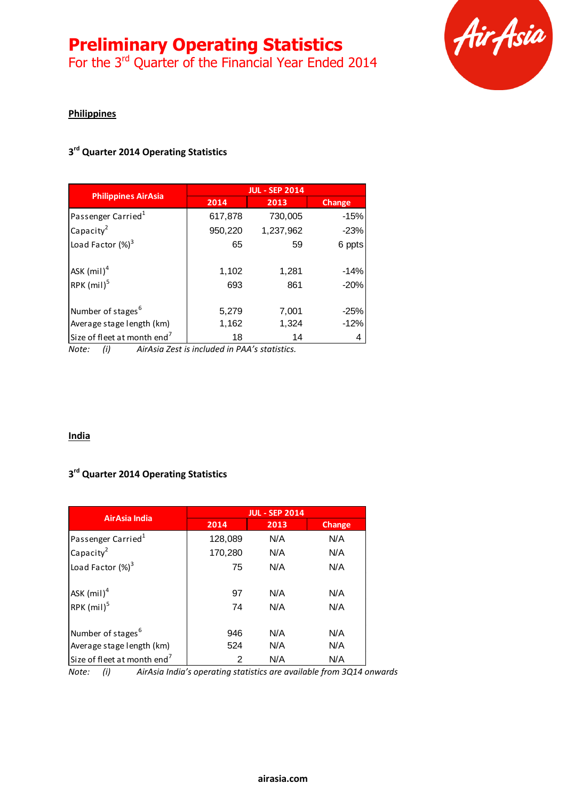For the 3<sup>rd</sup> Quarter of the Financial Year Ended 2014



## **Philippines**

# **3 rd Quarter 2014 Operating Statistics**

|                                         | <b>JUL - SEP 2014</b> |              |                  |
|-----------------------------------------|-----------------------|--------------|------------------|
| <b>Philippines AirAsia</b>              | 2014                  | 2013         | <b>Change</b>    |
| Passenger Carried <sup>1</sup>          | 617,878               | 730,005      | $-15%$           |
| Capacity <sup>2</sup>                   | 950,220               | 1,237,962    | $-23%$           |
| Load Factor $(\%)^3$                    | 65                    | 59           | 6 ppts           |
| ASK $(mil)^4$<br>RPK $(mil)^5$          | 1,102<br>693          | 1,281<br>861 | $-14%$<br>$-20%$ |
|                                         |                       |              |                  |
| Number of stages <sup>6</sup>           | 5,279                 | 7,001        | $-25%$           |
| Average stage length (km)               | 1,162                 | 1,324        | $-12%$           |
| Size of fleet at month end <sup>7</sup> | 18                    | 14           |                  |

*Note: (i) AirAsia Zest is included in PAA's statistics.*

#### **India**

# **3 rd Quarter 2014 Operating Statistics**

|                                         | <b>JUL - SEP 2014</b> |      |               |
|-----------------------------------------|-----------------------|------|---------------|
| AirAsia India                           | 2014                  | 2013 | <b>Change</b> |
| Passenger Carried <sup>1</sup>          | 128,089               | N/A  | N/A           |
| Capacity <sup>2</sup>                   | 170,280               | N/A  | N/A           |
| Load Factor $(\%)^3$                    | 75                    | N/A  | N/A           |
| ASK $(mil)^4$                           | 97                    | N/A  | N/A           |
| RPK $(mil)^5$                           | 74                    | N/A  | N/A           |
| Number of stages <sup>6</sup>           | 946                   | N/A  | N/A           |
| Average stage length (km)               | 524                   | N/A  | N/A           |
| Size of fleet at month end <sup>7</sup> | 2                     | N/A  | N/A           |

*Note: (i) AirAsia India's operating statistics are available from 3Q14 onwards*